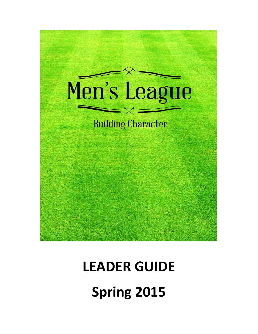

# **LEADER GUIDE Spring 2015**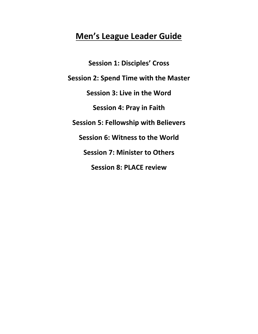# **Men's League Leader Guide**

**Session 1: Disciples' Cross Session 2: Spend Time with the Master Session 3: Live in the Word Session 4: Pray in Faith Session 5: Fellowship with Believers Session 6: Witness to the World Session 7: Minister to Others Session 8: PLACE review**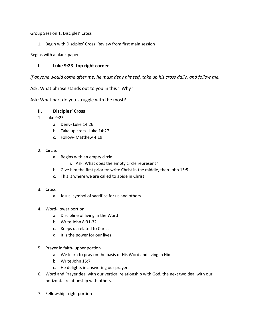Group Session 1: Disciples' Cross

1. Begin with Disciples' Cross: Review from first main session

Begins with a blank paper

# **I. Luke 9:23- top right corner**

*If anyone would come after me, he must deny himself, take up his cross daily, and follow me.*

Ask: What phrase stands out to you in this? Why?

Ask: What part do you struggle with the most?

# **II. Disciples' Cross**

- 1. Luke 9:23
	- a. Deny- Luke 14:26
	- b. Take up cross- Luke 14:27
	- c. Follow- Matthew 4:19

### 2. Circle:

- a. Begins with an empty circle
	- i. Ask: What does the empty circle represent?
- b. Give him the first priority: write Christ in the middle, then John 15:5
- c. This is where we are called to abide in Christ

#### 3. Cross

- a. Jesus' symbol of sacrifice for us and others
- 4. Word- lower portion
	- a. Discipline of living in the Word
	- b. Write John 8:31-32
	- c. Keeps us related to Christ
	- d. It is the power for our lives
- 5. Prayer in faith- upper portion
	- a. We learn to pray on the basis of His Word and living in Him
	- b. Write John 15:7
	- c. He delights in answering our prayers
- 6. Word and Prayer deal with our vertical relationship with God, the next two deal with our horizontal relationship with others.
- 7. Fellowship- right portion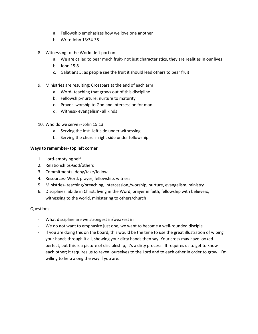- a. Fellowship emphasizes how we love one another
- b. Write John 13:34-35
- 8. Witnessing to the World- left portion
	- a. We are called to bear much fruit- not just characteristics, they are realities in our lives
	- b. John 15:8
	- c. Galatians 5: as people see the fruit it should lead others to bear fruit
- 9. Ministries are resulting: Crossbars at the end of each arm
	- a. Word- teaching that grows out of this discipline
	- b. Fellowship-nurture: nurture to maturity
	- c. Prayer- worship to God and intercession for man
	- d. Witness- evangelism- all kinds
- 10. Who do we serve?- John 15:13
	- a. Serving the lost- left side under witnessing
	- b. Serving the church- right side under fellowship

#### **Ways to remember- top left corner**

- 1. Lord-emptying self
- 2. Relationships-God/others
- 3. Commitments- deny/take/follow
- 4. Resources- Word, prayer, fellowship, witness
- 5. Ministries- teaching/preaching, intercession,/worship, nurture, evangelism, ministry
- 6. Disciplines: abide in Christ, living in the Word, prayer in faith, fellowship with believers, witnessing to the world, ministering to others/church

#### Questions:

- What discipline are we strongest in/weakest in
- We do not want to emphasize just one, we want to become a well-rounded disciple
- If you are doing this on the board, this would be the time to use the great illustration of wiping your hands through it all, showing your dirty hands then say: Your cross may have looked perfect, but this is a picture of discipleship; it's a dirty process. It requires us to get to know each other; it requires us to reveal ourselves to the Lord and to each other in order to grow. I'm willing to help along the way if you are.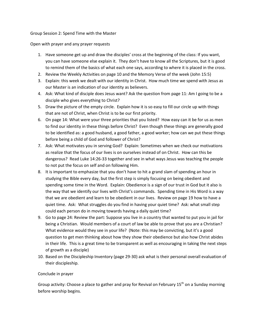#### Group Session 2: Spend Time with the Master

#### Open with prayer and any prayer requests

- 1. Have someone get up and draw the disciples' cross at the beginning of the class: If you want, you can have someone else explain it. They don't have to know all the Scriptures, but it is good to remind them of the basics of what each one says, according to where it is placed in the cross.
- 2. Review the Weekly Activities on page 10 and the Memory Verse of the week (John 15:5)
- 3. Explain: this week we dealt with our identity in Christ. How much time we spend with Jesus as our Master is an indication of our identity as believers.
- 4. Ask: What kind of disciple does Jesus want? Ask the question from page 11: Am I going to be a disciple who gives everything to Christ?
- 5. Draw the picture of the empty circle. Explain how it is so easy to fill our circle up with things that are not of Christ, when Christ is to be our first priority.
- 6. On page 14: What were your three priorities that you listed? How easy can it be for us as men to find our identity in these things before Christ? Even though these things are generally good to be identified as: a good husband, a good father, a good worker; how can we put these things before being a child of God and follower of Christ?
- 7. Ask: What motivates you in serving God? Explain: Sometimes when we check our motivations as realize that the focus of our lives is on ourselves instead of on Christ. How can this be dangerous? Read Luke 14:26-33 together and see in what ways Jesus was teaching the people to not put the focus on self and on following Him.
- 8. It is important to emphasize that you don't have to hit a grand slam of spending an hour in studying the Bible every day, but the first step is simply focusing on being obedient and spending some time in the Word. Explain: Obedience is a sign of our trust in God but it also is the way that we identify our lives with Christ's commands. Spending time in His Word is a way that we are obedient and learn to be obedient in our lives. Review on page 19 how to have a quiet time. Ask: What struggles do you find in having your quiet time? Ask: what small step could each person do in moving towards having a daily quiet time?
- 9. Go to page 24: Review the part: Suppose you live in a country that wanted to put you in jail for being a Christian. Would members of a court of law be able to prove that you are a Christian? What evidence would they see in your life? (Note: this may be convicting, but it's a good question to get men thinking about how they show their obedience but also how Christ abides in their life. This is a great time to be transparent as well as encouraging in taking the next steps of growth as a disciple)
- 10. Based on the Discipleship Inventory (page 29-30) ask what is their personal overall evaluation of their discipleship.

#### Conclude in prayer

Group activity: Choose a place to gather and pray for Revival on February  $15<sup>th</sup>$  on a Sunday morning before worship begins.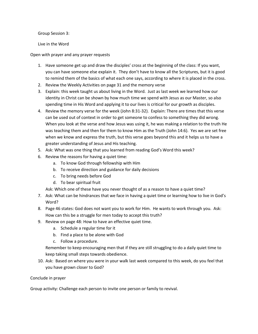Group Session 3:

Live in the Word

Open with prayer and any prayer requests

- 1. Have someone get up and draw the disciples' cross at the beginning of the class: If you want, you can have someone else explain it. They don't have to know all the Scriptures, but it is good to remind them of the basics of what each one says, according to where it is placed in the cross.
- 2. Review the Weekly Activities on page 31 and the memory verse
- 3. Explain: this week taught us about living in the Word. Just as last week we learned how our identity in Christ can be shown by how much time we spend with Jesus as our Master, so also spending time in His Word and applying it to our lives is critical for our growth as disciples.
- 4. Review the memory verse for the week (John 8:31-32). Explain: There are times that this verse can be used out of context in order to get someone to confess to something they did wrong. When you look at the verse and how Jesus was using it, he was making a relation to the truth He was teaching them and then for them to know Him as the Truth (John 14:6). Yes we are set free when we know and express the truth, but this verse goes beyond this and it helps us to have a greater understanding of Jesus and His teaching.
- 5. Ask: What was one thing that you learned from reading God's Word this week?
- 6. Review the reasons for having a quiet time:
	- a. To know God through fellowship with Him
	- b. To receive direction and guidance for daily decisions
	- c. To bring needs before God
	- d. To bear spiritual fruit

Ask: Which one of these have you never thought of as a reason to have a quiet time?

- 7. Ask: What can be hindrances that we face in having a quiet time or learning how to live in God's Word?
- 8. Page 46 states: God does not want you to work for Him. He wants to work through you. Ask: How can this be a struggle for men today to accept this truth?
- 9. Review on page 48: How to have an effective quiet time.
	- a. Schedule a regular time for it
	- b. Find a place to be alone with God
	- c. Follow a procedure.

Remember to keep encouraging men that if they are still struggling to do a daily quiet time to keep taking small steps towards obedience.

10. Ask: Based on where you were in your walk last week compared to this week, do you feel that you have grown closer to God?

Conclude in prayer

Group activity: Challenge each person to invite one person or family to revival.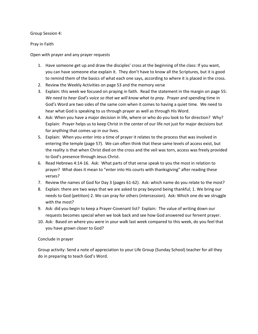Group Session 4:

Pray in Faith

Open with prayer and any prayer requests

- 1. Have someone get up and draw the disciples' cross at the beginning of the class: If you want, you can have someone else explain it. They don't have to know all the Scriptures, but it is good to remind them of the basics of what each one says, according to where it is placed in the cross.
- 2. Review the Weekly Activities on page 53 and the memory verse
- 3. Explain: this week we focused on praying in faith. Read the statement in the margin on page 55: *We need to hear God's voice so that we will know what to pray.* Prayer and spending time in God's Word are two sides of the same coin when it comes to having a quiet time. We need to hear what God is speaking to us through prayer as well as through His Word.
- 4. Ask: When you have a major decision in life, where or who do you look to for direction? Why? Explain: Prayer helps us to keep Christ in the center of our life not just for major decisions but for anything that comes up in our lives.
- 5. Explain: When you enter into a time of prayer it relates to the process that was involved in entering the temple (page 57). We can often think that these same levels of access exist, but the reality is that when Christ died on the cross and the veil was torn, access was freely provided to God's presence through Jesus Christ.
- 6. Read Hebrews 4:14-16. Ask: What parts of that verse speak to you the most in relation to prayer? What does it mean to "enter into His courts with thanksgiving" after reading these verses?
- 7. Review the names of God for Day 3 (pages 61-62). Ask: which name do you relate to the most?
- 8. Explain: there are two ways that we are asked to pray beyond being thankful; 1. We bring our needs to God (petition) 2. We can pray for others (intercession). Ask: Which one do we struggle with the most?
- 9. Ask: did you begin to keep a Prayer-Covenant list? Explain: The value of writing down our requests becomes special when we look back and see how God answered our fervent prayer.
- 10. Ask: Based on where you were in your walk last week compared to this week, do you feel that you have grown closer to God?

#### Conclude in prayer

Group activity: Send a note of appreciation to your Life Group (Sunday School) teacher for all they do in preparing to teach God's Word.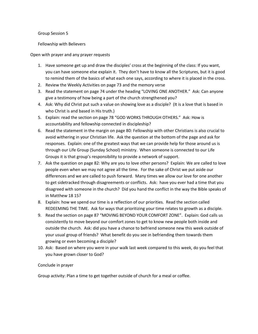Group Session 5

Fellowship with Believers

Open with prayer and any prayer requests

- 1. Have someone get up and draw the disciples' cross at the beginning of the class: If you want, you can have someone else explain it. They don't have to know all the Scriptures, but it is good to remind them of the basics of what each one says, according to where it is placed in the cross.
- 2. Review the Weekly Activities on page 73 and the memory verse
- 3. Read the statement on page 74 under the heading "LOVING ONE ANOTHER." Ask: Can anyone give a testimony of how being a part of the church strengthened you?
- 4. Ask: Why did Christ put such a value on showing love as a disciple? (It is a love that is based in who Christ is and based in His truth.)
- 5. Explain: read the section on page 78 "GOD WORKS THROUGH OTHERS." Ask: How is accountability and fellowship connected in discipleship?
- 6. Read the statement in the margin on page 80: Fellowship with other Christians is also crucial to avoid withering in your Christian life. Ask the question at the bottom of the page and ask for responses. Explain: one of the greatest ways that we can provide help for those around us is through our Life Group (Sunday School) ministry. When someone is connected to our Life Groups it is that group's responsibility to provide a network of support.
- 7. Ask the question on page 82: Why are you to love other persons? Explain: We are called to love people even when we may not agree all the time. For the sake of Christ we put aside our differences and we are called to push forward. Many times we allow our love for one another to get sidetracked through disagreements or conflicts. Ask: have you ever had a time that you disagreed with someone in the church? Did you hand the conflict in the way the Bible speaks of in Matthew 18 15?
- 8. Explain: how we spend our time is a reflection of our priorities. Read the section called REDEEMING THE TIME. Ask for ways that prioritizing your time relates to growth as a disciple.
- 9. Read the section on page 87 "MOVING BEYOND YOUR COMFORT ZONE". Explain: God calls us consistently to move beyond our comfort zones to get to know new people both inside and outside the church. Ask: did you have a chance to befriend someone new this week outside of your usual group of friends? What benefit do you see in befriending them towards them growing or even becoming a disciple?
- 10. Ask: Based on where you were in your walk last week compared to this week, do you feel that you have grown closer to God?

#### Conclude in prayer

Group activity: Plan a time to get together outside of church for a meal or coffee.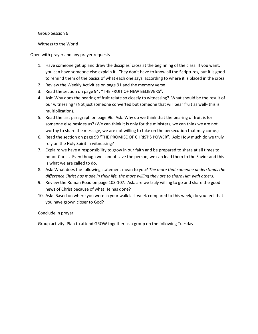Group Session 6

Witness to the World

Open with prayer and any prayer requests

- 1. Have someone get up and draw the disciples' cross at the beginning of the class: If you want, you can have someone else explain it. They don't have to know all the Scriptures, but it is good to remind them of the basics of what each one says, according to where it is placed in the cross.
- 2. Review the Weekly Activities on page 91 and the memory verse
- 3. Read the section on page 94: "THE FRUIT OF NEW BELIEVERS".
- 4. Ask: Why does the bearing of fruit relate so closely to witnessing? What should be the result of our witnessing? (Not just someone converted but someone that will bear fruit as well- this is multiplication).
- 5. Read the last paragraph on page 96. Ask: Why do we think that the bearing of fruit is for someone else besides us? (We can think it is only for the ministers, we can think we are not worthy to share the message, we are not willing to take on the persecution that may come.)
- 6. Read the section on page 99 "THE PROMISE OF CHRIST'S POWER". Ask: How much do we truly rely on the Holy Spirit in witnessing?
- 7. Explain: we have a responsibility to grow in our faith and be prepared to share at all times to honor Christ. Even though we cannot save the person, we can lead them to the Savior and this is what we are called to do.
- 8. Ask: What does the following statement mean to you? *The more that someone understands the difference Christ has made in their life, the more willing they are to share Him with others.*
- 9. Review the Roman Road on page 103-107. Ask: are we truly willing to go and share the good news of Christ because of what He has done?
- 10. Ask: Based on where you were in your walk last week compared to this week, do you feel that you have grown closer to God?

Conclude in prayer

Group activity: Plan to attend GROW together as a group on the following Tuesday.